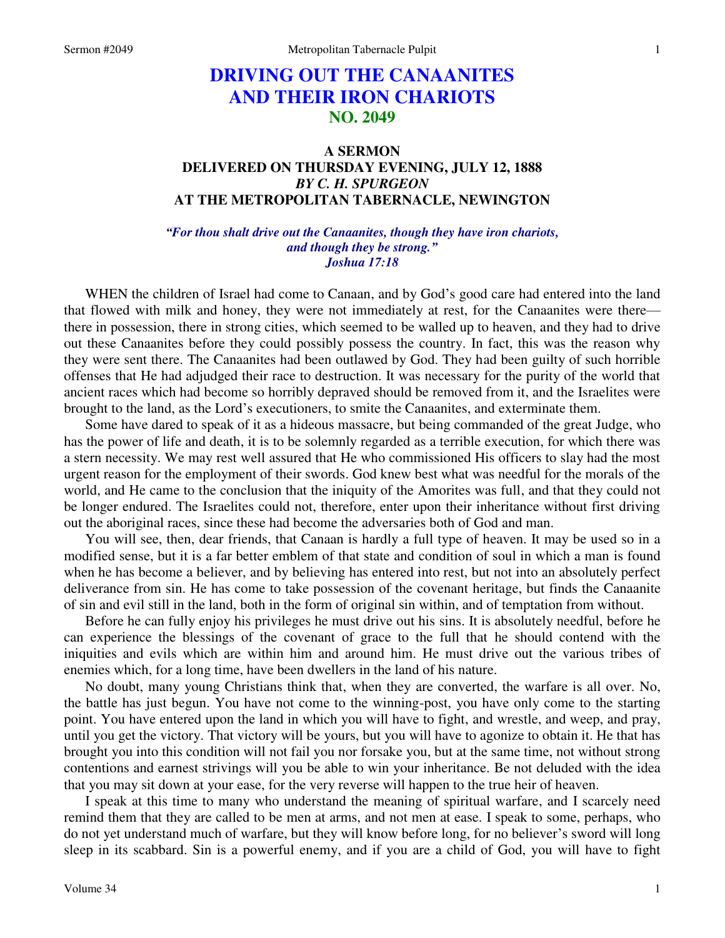# **DRIVING OUT THE CANAANITES AND THEIR IRON CHARIOTS NO. 2049**

## **A SERMON DELIVERED ON THURSDAY EVENING, JULY 12, 1888**  *BY C. H. SPURGEON*  **AT THE METROPOLITAN TABERNACLE, NEWINGTON**

*"For thou shalt drive out the Canaanites, though they have iron chariots, and though they be strong." Joshua 17:18* 

WHEN the children of Israel had come to Canaan, and by God's good care had entered into the land that flowed with milk and honey, they were not immediately at rest, for the Canaanites were there there in possession, there in strong cities, which seemed to be walled up to heaven, and they had to drive out these Canaanites before they could possibly possess the country. In fact, this was the reason why they were sent there. The Canaanites had been outlawed by God. They had been guilty of such horrible offenses that He had adjudged their race to destruction. It was necessary for the purity of the world that ancient races which had become so horribly depraved should be removed from it, and the Israelites were brought to the land, as the Lord's executioners, to smite the Canaanites, and exterminate them.

Some have dared to speak of it as a hideous massacre, but being commanded of the great Judge, who has the power of life and death, it is to be solemnly regarded as a terrible execution, for which there was a stern necessity. We may rest well assured that He who commissioned His officers to slay had the most urgent reason for the employment of their swords. God knew best what was needful for the morals of the world, and He came to the conclusion that the iniquity of the Amorites was full, and that they could not be longer endured. The Israelites could not, therefore, enter upon their inheritance without first driving out the aboriginal races, since these had become the adversaries both of God and man.

You will see, then, dear friends, that Canaan is hardly a full type of heaven. It may be used so in a modified sense, but it is a far better emblem of that state and condition of soul in which a man is found when he has become a believer, and by believing has entered into rest, but not into an absolutely perfect deliverance from sin. He has come to take possession of the covenant heritage, but finds the Canaanite of sin and evil still in the land, both in the form of original sin within, and of temptation from without.

Before he can fully enjoy his privileges he must drive out his sins. It is absolutely needful, before he can experience the blessings of the covenant of grace to the full that he should contend with the iniquities and evils which are within him and around him. He must drive out the various tribes of enemies which, for a long time, have been dwellers in the land of his nature.

No doubt, many young Christians think that, when they are converted, the warfare is all over. No, the battle has just begun. You have not come to the winning-post, you have only come to the starting point. You have entered upon the land in which you will have to fight, and wrestle, and weep, and pray, until you get the victory. That victory will be yours, but you will have to agonize to obtain it. He that has brought you into this condition will not fail you nor forsake you, but at the same time, not without strong contentions and earnest strivings will you be able to win your inheritance. Be not deluded with the idea that you may sit down at your ease, for the very reverse will happen to the true heir of heaven.

I speak at this time to many who understand the meaning of spiritual warfare, and I scarcely need remind them that they are called to be men at arms, and not men at ease. I speak to some, perhaps, who do not yet understand much of warfare, but they will know before long, for no believer's sword will long sleep in its scabbard. Sin is a powerful enemy, and if you are a child of God, you will have to fight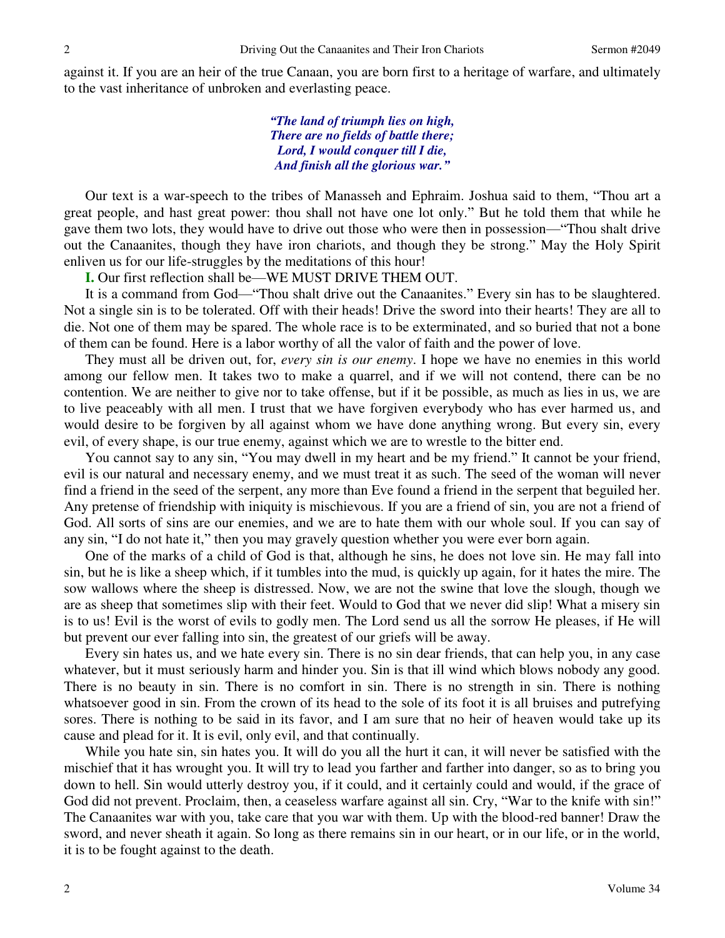against it. If you are an heir of the true Canaan, you are born first to a heritage of warfare, and ultimately to the vast inheritance of unbroken and everlasting peace.

> *"The land of triumph lies on high, There are no fields of battle there; Lord, I would conquer till I die, And finish all the glorious war."*

Our text is a war-speech to the tribes of Manasseh and Ephraim. Joshua said to them, "Thou art a great people, and hast great power: thou shall not have one lot only." But he told them that while he gave them two lots, they would have to drive out those who were then in possession—"Thou shalt drive out the Canaanites, though they have iron chariots, and though they be strong." May the Holy Spirit enliven us for our life-struggles by the meditations of this hour!

**I.** Our first reflection shall be—WE MUST DRIVE THEM OUT.

It is a command from God—"Thou shalt drive out the Canaanites." Every sin has to be slaughtered. Not a single sin is to be tolerated. Off with their heads! Drive the sword into their hearts! They are all to die. Not one of them may be spared. The whole race is to be exterminated, and so buried that not a bone of them can be found. Here is a labor worthy of all the valor of faith and the power of love.

They must all be driven out, for, *every sin is our enemy*. I hope we have no enemies in this world among our fellow men. It takes two to make a quarrel, and if we will not contend, there can be no contention. We are neither to give nor to take offense, but if it be possible, as much as lies in us, we are to live peaceably with all men. I trust that we have forgiven everybody who has ever harmed us, and would desire to be forgiven by all against whom we have done anything wrong. But every sin, every evil, of every shape, is our true enemy, against which we are to wrestle to the bitter end.

You cannot say to any sin, "You may dwell in my heart and be my friend." It cannot be your friend, evil is our natural and necessary enemy, and we must treat it as such. The seed of the woman will never find a friend in the seed of the serpent, any more than Eve found a friend in the serpent that beguiled her. Any pretense of friendship with iniquity is mischievous. If you are a friend of sin, you are not a friend of God. All sorts of sins are our enemies, and we are to hate them with our whole soul. If you can say of any sin, "I do not hate it," then you may gravely question whether you were ever born again.

One of the marks of a child of God is that, although he sins, he does not love sin. He may fall into sin, but he is like a sheep which, if it tumbles into the mud, is quickly up again, for it hates the mire. The sow wallows where the sheep is distressed. Now, we are not the swine that love the slough, though we are as sheep that sometimes slip with their feet. Would to God that we never did slip! What a misery sin is to us! Evil is the worst of evils to godly men. The Lord send us all the sorrow He pleases, if He will but prevent our ever falling into sin, the greatest of our griefs will be away.

Every sin hates us, and we hate every sin. There is no sin dear friends, that can help you, in any case whatever, but it must seriously harm and hinder you. Sin is that ill wind which blows nobody any good. There is no beauty in sin. There is no comfort in sin. There is no strength in sin. There is nothing whatsoever good in sin. From the crown of its head to the sole of its foot it is all bruises and putrefying sores. There is nothing to be said in its favor, and I am sure that no heir of heaven would take up its cause and plead for it. It is evil, only evil, and that continually.

While you hate sin, sin hates you. It will do you all the hurt it can, it will never be satisfied with the mischief that it has wrought you. It will try to lead you farther and farther into danger, so as to bring you down to hell. Sin would utterly destroy you, if it could, and it certainly could and would, if the grace of God did not prevent. Proclaim, then, a ceaseless warfare against all sin. Cry, "War to the knife with sin!" The Canaanites war with you, take care that you war with them. Up with the blood-red banner! Draw the sword, and never sheath it again. So long as there remains sin in our heart, or in our life, or in the world, it is to be fought against to the death.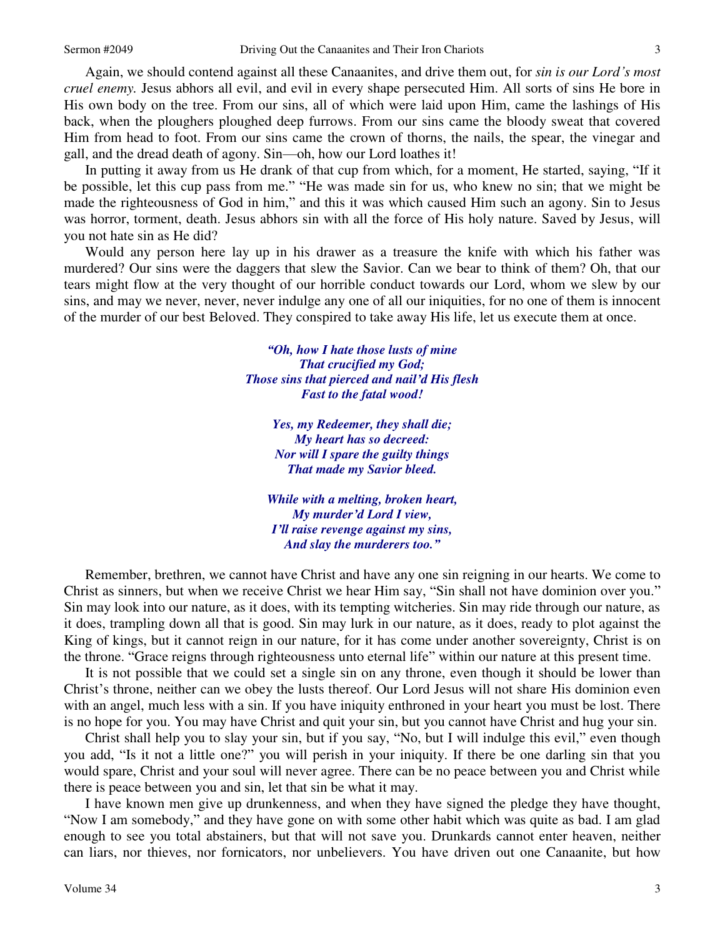3

Again, we should contend against all these Canaanites, and drive them out, for *sin is our Lord's most cruel enemy.* Jesus abhors all evil, and evil in every shape persecuted Him. All sorts of sins He bore in His own body on the tree. From our sins, all of which were laid upon Him, came the lashings of His back, when the ploughers ploughed deep furrows. From our sins came the bloody sweat that covered Him from head to foot. From our sins came the crown of thorns, the nails, the spear, the vinegar and gall, and the dread death of agony. Sin—oh, how our Lord loathes it!

In putting it away from us He drank of that cup from which, for a moment, He started, saying, "If it be possible, let this cup pass from me." "He was made sin for us, who knew no sin; that we might be made the righteousness of God in him," and this it was which caused Him such an agony. Sin to Jesus was horror, torment, death. Jesus abhors sin with all the force of His holy nature. Saved by Jesus, will you not hate sin as He did?

Would any person here lay up in his drawer as a treasure the knife with which his father was murdered? Our sins were the daggers that slew the Savior. Can we bear to think of them? Oh, that our tears might flow at the very thought of our horrible conduct towards our Lord, whom we slew by our sins, and may we never, never, never indulge any one of all our iniquities, for no one of them is innocent of the murder of our best Beloved. They conspired to take away His life, let us execute them at once.

> *"Oh, how I hate those lusts of mine That crucified my God; Those sins that pierced and nail'd His flesh Fast to the fatal wood!*

> > *Yes, my Redeemer, they shall die; My heart has so decreed: Nor will I spare the guilty things That made my Savior bleed.*

*While with a melting, broken heart, My murder'd Lord I view, I'll raise revenge against my sins, And slay the murderers too."*

Remember, brethren, we cannot have Christ and have any one sin reigning in our hearts. We come to Christ as sinners, but when we receive Christ we hear Him say, "Sin shall not have dominion over you." Sin may look into our nature, as it does, with its tempting witcheries. Sin may ride through our nature, as it does, trampling down all that is good. Sin may lurk in our nature, as it does, ready to plot against the King of kings, but it cannot reign in our nature, for it has come under another sovereignty, Christ is on the throne. "Grace reigns through righteousness unto eternal life" within our nature at this present time.

It is not possible that we could set a single sin on any throne, even though it should be lower than Christ's throne, neither can we obey the lusts thereof. Our Lord Jesus will not share His dominion even with an angel, much less with a sin. If you have iniquity enthroned in your heart you must be lost. There is no hope for you. You may have Christ and quit your sin, but you cannot have Christ and hug your sin.

Christ shall help you to slay your sin, but if you say, "No, but I will indulge this evil," even though you add, "Is it not a little one?" you will perish in your iniquity. If there be one darling sin that you would spare, Christ and your soul will never agree. There can be no peace between you and Christ while there is peace between you and sin, let that sin be what it may.

I have known men give up drunkenness, and when they have signed the pledge they have thought, "Now I am somebody," and they have gone on with some other habit which was quite as bad. I am glad enough to see you total abstainers, but that will not save you. Drunkards cannot enter heaven, neither can liars, nor thieves, nor fornicators, nor unbelievers. You have driven out one Canaanite, but how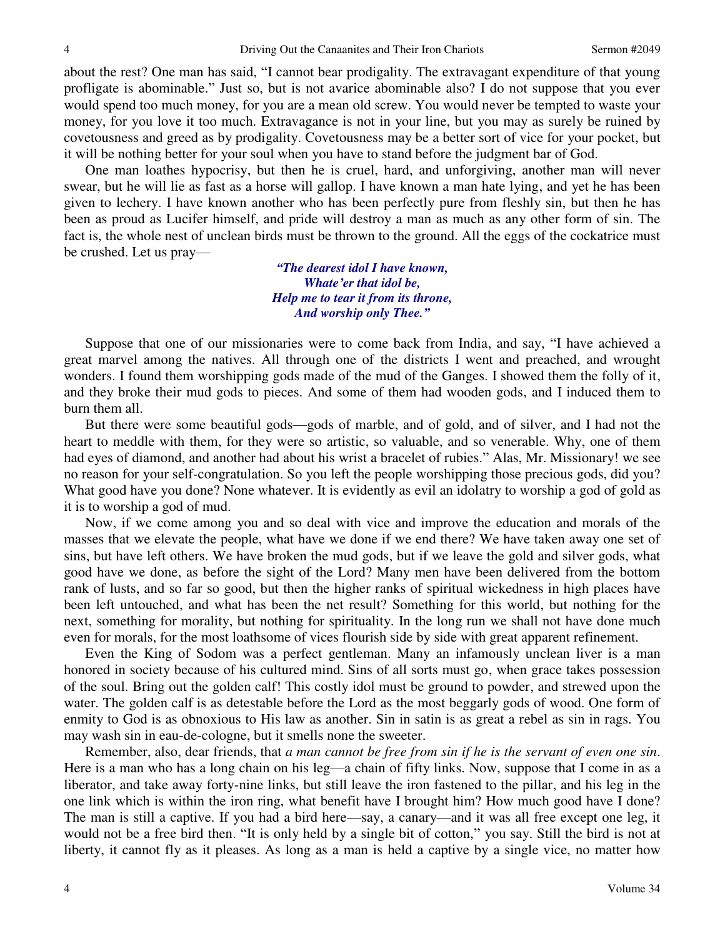about the rest? One man has said, "I cannot bear prodigality. The extravagant expenditure of that young profligate is abominable." Just so, but is not avarice abominable also? I do not suppose that you ever would spend too much money, for you are a mean old screw. You would never be tempted to waste your money, for you love it too much. Extravagance is not in your line, but you may as surely be ruined by covetousness and greed as by prodigality. Covetousness may be a better sort of vice for your pocket, but it will be nothing better for your soul when you have to stand before the judgment bar of God.

One man loathes hypocrisy, but then he is cruel, hard, and unforgiving, another man will never swear, but he will lie as fast as a horse will gallop. I have known a man hate lying, and yet he has been given to lechery. I have known another who has been perfectly pure from fleshly sin, but then he has been as proud as Lucifer himself, and pride will destroy a man as much as any other form of sin. The fact is, the whole nest of unclean birds must be thrown to the ground. All the eggs of the cockatrice must be crushed. Let us pray—

> *"The dearest idol I have known, Whate'er that idol be, Help me to tear it from its throne, And worship only Thee."*

Suppose that one of our missionaries were to come back from India, and say, "I have achieved a great marvel among the natives. All through one of the districts I went and preached, and wrought wonders. I found them worshipping gods made of the mud of the Ganges. I showed them the folly of it, and they broke their mud gods to pieces. And some of them had wooden gods, and I induced them to burn them all.

But there were some beautiful gods—gods of marble, and of gold, and of silver, and I had not the heart to meddle with them, for they were so artistic, so valuable, and so venerable. Why, one of them had eyes of diamond, and another had about his wrist a bracelet of rubies." Alas, Mr. Missionary! we see no reason for your self-congratulation. So you left the people worshipping those precious gods, did you? What good have you done? None whatever. It is evidently as evil an idolatry to worship a god of gold as it is to worship a god of mud.

Now, if we come among you and so deal with vice and improve the education and morals of the masses that we elevate the people, what have we done if we end there? We have taken away one set of sins, but have left others. We have broken the mud gods, but if we leave the gold and silver gods, what good have we done, as before the sight of the Lord? Many men have been delivered from the bottom rank of lusts, and so far so good, but then the higher ranks of spiritual wickedness in high places have been left untouched, and what has been the net result? Something for this world, but nothing for the next, something for morality, but nothing for spirituality. In the long run we shall not have done much even for morals, for the most loathsome of vices flourish side by side with great apparent refinement.

Even the King of Sodom was a perfect gentleman. Many an infamously unclean liver is a man honored in society because of his cultured mind. Sins of all sorts must go, when grace takes possession of the soul. Bring out the golden calf! This costly idol must be ground to powder, and strewed upon the water. The golden calf is as detestable before the Lord as the most beggarly gods of wood. One form of enmity to God is as obnoxious to His law as another. Sin in satin is as great a rebel as sin in rags. You may wash sin in eau-de-cologne, but it smells none the sweeter.

Remember, also, dear friends, that *a man cannot be free from sin if he is the servant of even one sin*. Here is a man who has a long chain on his leg—a chain of fifty links. Now, suppose that I come in as a liberator, and take away forty-nine links, but still leave the iron fastened to the pillar, and his leg in the one link which is within the iron ring, what benefit have I brought him? How much good have I done? The man is still a captive. If you had a bird here—say, a canary—and it was all free except one leg, it would not be a free bird then. "It is only held by a single bit of cotton," you say. Still the bird is not at liberty, it cannot fly as it pleases. As long as a man is held a captive by a single vice, no matter how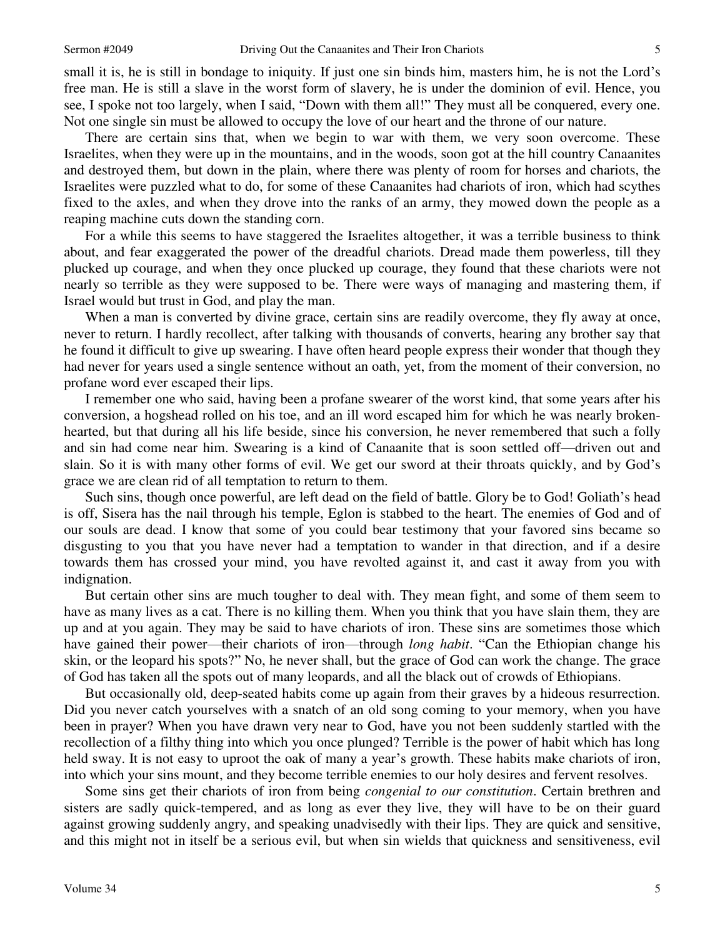small it is, he is still in bondage to iniquity. If just one sin binds him, masters him, he is not the Lord's free man. He is still a slave in the worst form of slavery, he is under the dominion of evil. Hence, you see, I spoke not too largely, when I said, "Down with them all!" They must all be conquered, every one. Not one single sin must be allowed to occupy the love of our heart and the throne of our nature.

There are certain sins that, when we begin to war with them, we very soon overcome. These Israelites, when they were up in the mountains, and in the woods, soon got at the hill country Canaanites and destroyed them, but down in the plain, where there was plenty of room for horses and chariots, the Israelites were puzzled what to do, for some of these Canaanites had chariots of iron, which had scythes fixed to the axles, and when they drove into the ranks of an army, they mowed down the people as a reaping machine cuts down the standing corn.

For a while this seems to have staggered the Israelites altogether, it was a terrible business to think about, and fear exaggerated the power of the dreadful chariots. Dread made them powerless, till they plucked up courage, and when they once plucked up courage, they found that these chariots were not nearly so terrible as they were supposed to be. There were ways of managing and mastering them, if Israel would but trust in God, and play the man.

When a man is converted by divine grace, certain sins are readily overcome, they fly away at once, never to return. I hardly recollect, after talking with thousands of converts, hearing any brother say that he found it difficult to give up swearing. I have often heard people express their wonder that though they had never for years used a single sentence without an oath, yet, from the moment of their conversion, no profane word ever escaped their lips.

I remember one who said, having been a profane swearer of the worst kind, that some years after his conversion, a hogshead rolled on his toe, and an ill word escaped him for which he was nearly brokenhearted, but that during all his life beside, since his conversion, he never remembered that such a folly and sin had come near him. Swearing is a kind of Canaanite that is soon settled off—driven out and slain. So it is with many other forms of evil. We get our sword at their throats quickly, and by God's grace we are clean rid of all temptation to return to them.

Such sins, though once powerful, are left dead on the field of battle. Glory be to God! Goliath's head is off, Sisera has the nail through his temple, Eglon is stabbed to the heart. The enemies of God and of our souls are dead. I know that some of you could bear testimony that your favored sins became so disgusting to you that you have never had a temptation to wander in that direction, and if a desire towards them has crossed your mind, you have revolted against it, and cast it away from you with indignation.

But certain other sins are much tougher to deal with. They mean fight, and some of them seem to have as many lives as a cat. There is no killing them. When you think that you have slain them, they are up and at you again. They may be said to have chariots of iron. These sins are sometimes those which have gained their power—their chariots of iron—through *long habit*. "Can the Ethiopian change his skin, or the leopard his spots?" No, he never shall, but the grace of God can work the change. The grace of God has taken all the spots out of many leopards, and all the black out of crowds of Ethiopians.

But occasionally old, deep-seated habits come up again from their graves by a hideous resurrection. Did you never catch yourselves with a snatch of an old song coming to your memory, when you have been in prayer? When you have drawn very near to God, have you not been suddenly startled with the recollection of a filthy thing into which you once plunged? Terrible is the power of habit which has long held sway. It is not easy to uproot the oak of many a year's growth. These habits make chariots of iron, into which your sins mount, and they become terrible enemies to our holy desires and fervent resolves.

Some sins get their chariots of iron from being *congenial to our constitution*. Certain brethren and sisters are sadly quick-tempered, and as long as ever they live, they will have to be on their guard against growing suddenly angry, and speaking unadvisedly with their lips. They are quick and sensitive, and this might not in itself be a serious evil, but when sin wields that quickness and sensitiveness, evil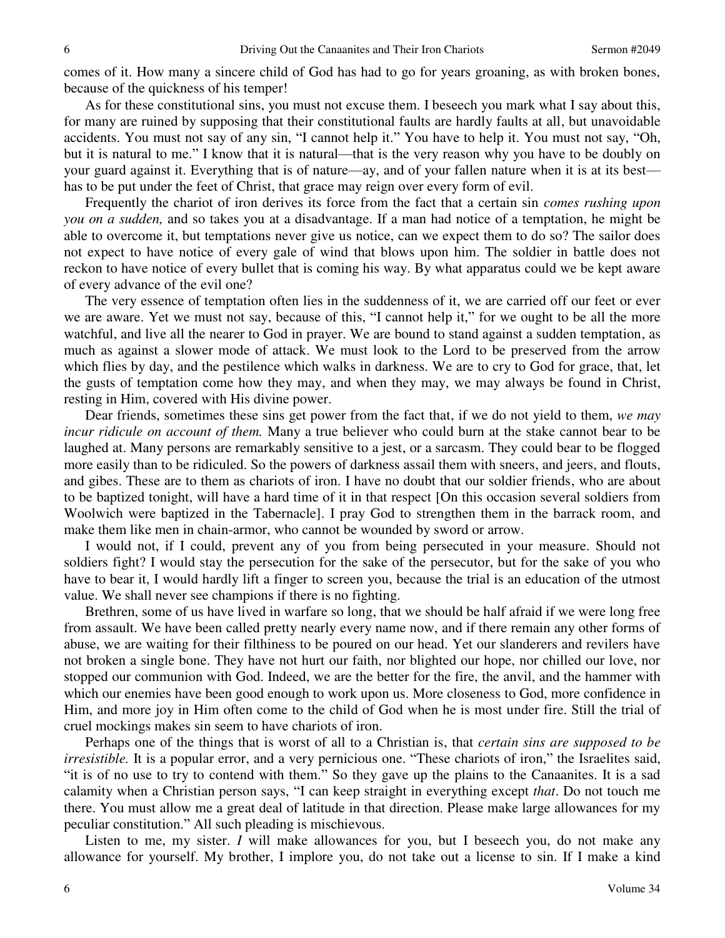comes of it. How many a sincere child of God has had to go for years groaning, as with broken bones, because of the quickness of his temper!

As for these constitutional sins, you must not excuse them. I beseech you mark what I say about this, for many are ruined by supposing that their constitutional faults are hardly faults at all, but unavoidable accidents. You must not say of any sin, "I cannot help it." You have to help it. You must not say, "Oh, but it is natural to me." I know that it is natural—that is the very reason why you have to be doubly on your guard against it. Everything that is of nature—ay, and of your fallen nature when it is at its best has to be put under the feet of Christ, that grace may reign over every form of evil.

Frequently the chariot of iron derives its force from the fact that a certain sin *comes rushing upon you on a sudden,* and so takes you at a disadvantage. If a man had notice of a temptation, he might be able to overcome it, but temptations never give us notice, can we expect them to do so? The sailor does not expect to have notice of every gale of wind that blows upon him. The soldier in battle does not reckon to have notice of every bullet that is coming his way. By what apparatus could we be kept aware of every advance of the evil one?

The very essence of temptation often lies in the suddenness of it, we are carried off our feet or ever we are aware. Yet we must not say, because of this, "I cannot help it," for we ought to be all the more watchful, and live all the nearer to God in prayer. We are bound to stand against a sudden temptation, as much as against a slower mode of attack. We must look to the Lord to be preserved from the arrow which flies by day, and the pestilence which walks in darkness. We are to cry to God for grace, that, let the gusts of temptation come how they may, and when they may, we may always be found in Christ, resting in Him, covered with His divine power.

Dear friends, sometimes these sins get power from the fact that, if we do not yield to them, *we may incur ridicule on account of them.* Many a true believer who could burn at the stake cannot bear to be laughed at. Many persons are remarkably sensitive to a jest, or a sarcasm. They could bear to be flogged more easily than to be ridiculed. So the powers of darkness assail them with sneers, and jeers, and flouts, and gibes. These are to them as chariots of iron. I have no doubt that our soldier friends, who are about to be baptized tonight, will have a hard time of it in that respect [On this occasion several soldiers from Woolwich were baptized in the Tabernacle]. I pray God to strengthen them in the barrack room, and make them like men in chain-armor, who cannot be wounded by sword or arrow.

I would not, if I could, prevent any of you from being persecuted in your measure. Should not soldiers fight? I would stay the persecution for the sake of the persecutor, but for the sake of you who have to bear it, I would hardly lift a finger to screen you, because the trial is an education of the utmost value. We shall never see champions if there is no fighting.

Brethren, some of us have lived in warfare so long, that we should be half afraid if we were long free from assault. We have been called pretty nearly every name now, and if there remain any other forms of abuse, we are waiting for their filthiness to be poured on our head. Yet our slanderers and revilers have not broken a single bone. They have not hurt our faith, nor blighted our hope, nor chilled our love, nor stopped our communion with God. Indeed, we are the better for the fire, the anvil, and the hammer with which our enemies have been good enough to work upon us. More closeness to God, more confidence in Him, and more joy in Him often come to the child of God when he is most under fire. Still the trial of cruel mockings makes sin seem to have chariots of iron.

Perhaps one of the things that is worst of all to a Christian is, that *certain sins are supposed to be irresistible*. It is a popular error, and a very pernicious one. "These chariots of iron," the Israelites said, "it is of no use to try to contend with them." So they gave up the plains to the Canaanites. It is a sad calamity when a Christian person says, "I can keep straight in everything except *that*. Do not touch me there. You must allow me a great deal of latitude in that direction. Please make large allowances for my peculiar constitution." All such pleading is mischievous.

Listen to me, my sister. *I* will make allowances for you, but I beseech you, do not make any allowance for yourself. My brother, I implore you, do not take out a license to sin. If I make a kind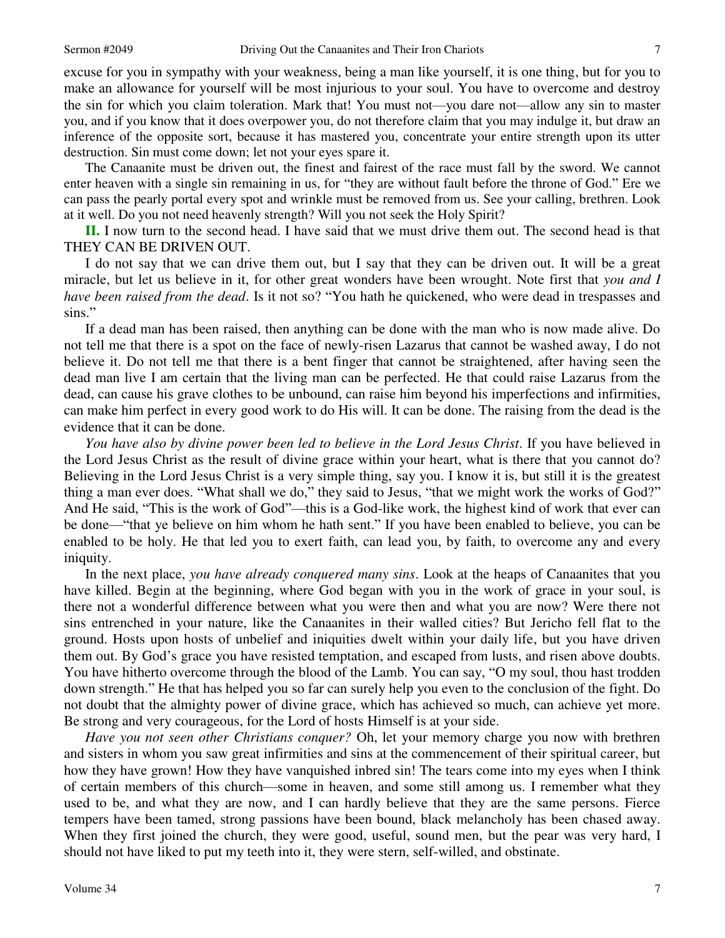7

excuse for you in sympathy with your weakness, being a man like yourself, it is one thing, but for you to make an allowance for yourself will be most injurious to your soul. You have to overcome and destroy the sin for which you claim toleration. Mark that! You must not—you dare not—allow any sin to master you, and if you know that it does overpower you, do not therefore claim that you may indulge it, but draw an inference of the opposite sort, because it has mastered you, concentrate your entire strength upon its utter destruction. Sin must come down; let not your eyes spare it.

The Canaanite must be driven out, the finest and fairest of the race must fall by the sword. We cannot enter heaven with a single sin remaining in us, for "they are without fault before the throne of God." Ere we can pass the pearly portal every spot and wrinkle must be removed from us. See your calling, brethren. Look at it well. Do you not need heavenly strength? Will you not seek the Holy Spirit?

**II.** I now turn to the second head. I have said that we must drive them out. The second head is that THEY CAN BE DRIVEN OUT.

I do not say that we can drive them out, but I say that they can be driven out. It will be a great miracle, but let us believe in it, for other great wonders have been wrought. Note first that *you and I have been raised from the dead*. Is it not so? "You hath he quickened, who were dead in trespasses and sins."

If a dead man has been raised, then anything can be done with the man who is now made alive. Do not tell me that there is a spot on the face of newly-risen Lazarus that cannot be washed away, I do not believe it. Do not tell me that there is a bent finger that cannot be straightened, after having seen the dead man live I am certain that the living man can be perfected. He that could raise Lazarus from the dead, can cause his grave clothes to be unbound, can raise him beyond his imperfections and infirmities, can make him perfect in every good work to do His will. It can be done. The raising from the dead is the evidence that it can be done.

*You have also by divine power been led to believe in the Lord Jesus Christ*. If you have believed in the Lord Jesus Christ as the result of divine grace within your heart, what is there that you cannot do? Believing in the Lord Jesus Christ is a very simple thing, say you. I know it is, but still it is the greatest thing a man ever does. "What shall we do," they said to Jesus, "that we might work the works of God?" And He said, "This is the work of God"—this is a God-like work, the highest kind of work that ever can be done—"that ye believe on him whom he hath sent." If you have been enabled to believe, you can be enabled to be holy. He that led you to exert faith, can lead you, by faith, to overcome any and every iniquity.

In the next place, *you have already conquered many sins*. Look at the heaps of Canaanites that you have killed. Begin at the beginning, where God began with you in the work of grace in your soul, is there not a wonderful difference between what you were then and what you are now? Were there not sins entrenched in your nature, like the Canaanites in their walled cities? But Jericho fell flat to the ground. Hosts upon hosts of unbelief and iniquities dwelt within your daily life, but you have driven them out. By God's grace you have resisted temptation, and escaped from lusts, and risen above doubts. You have hitherto overcome through the blood of the Lamb. You can say, "O my soul, thou hast trodden down strength." He that has helped you so far can surely help you even to the conclusion of the fight. Do not doubt that the almighty power of divine grace, which has achieved so much, can achieve yet more. Be strong and very courageous, for the Lord of hosts Himself is at your side.

*Have you not seen other Christians conquer?* Oh, let your memory charge you now with brethren and sisters in whom you saw great infirmities and sins at the commencement of their spiritual career, but how they have grown! How they have vanquished inbred sin! The tears come into my eyes when I think of certain members of this church—some in heaven, and some still among us. I remember what they used to be, and what they are now, and I can hardly believe that they are the same persons. Fierce tempers have been tamed, strong passions have been bound, black melancholy has been chased away. When they first joined the church, they were good, useful, sound men, but the pear was very hard, I should not have liked to put my teeth into it, they were stern, self-willed, and obstinate.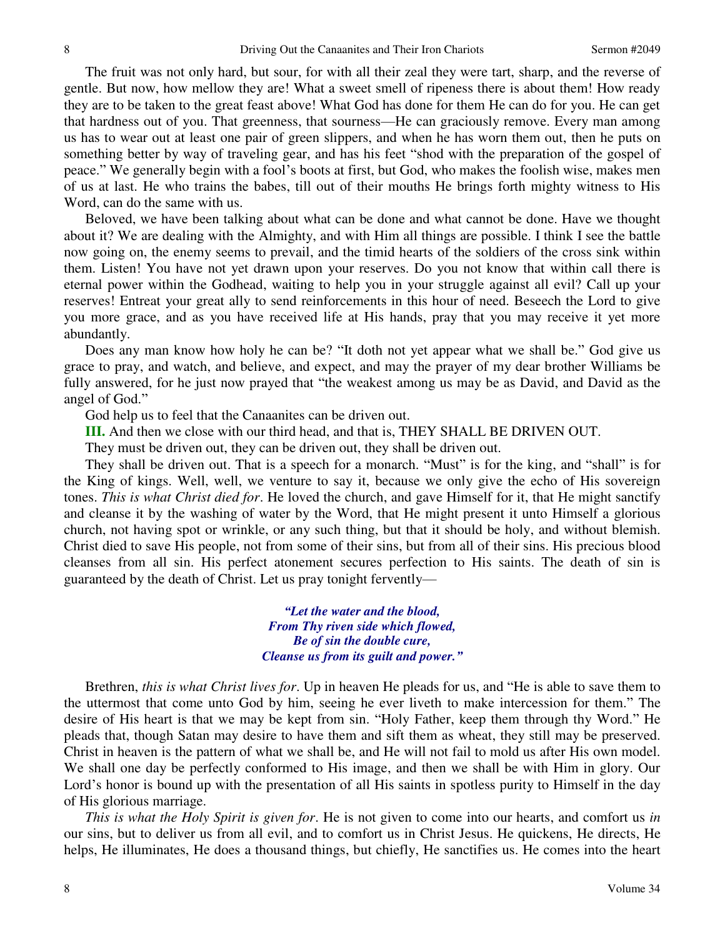The fruit was not only hard, but sour, for with all their zeal they were tart, sharp, and the reverse of gentle. But now, how mellow they are! What a sweet smell of ripeness there is about them! How ready they are to be taken to the great feast above! What God has done for them He can do for you. He can get that hardness out of you. That greenness, that sourness—He can graciously remove. Every man among us has to wear out at least one pair of green slippers, and when he has worn them out, then he puts on something better by way of traveling gear, and has his feet "shod with the preparation of the gospel of peace." We generally begin with a fool's boots at first, but God, who makes the foolish wise, makes men of us at last. He who trains the babes, till out of their mouths He brings forth mighty witness to His Word, can do the same with us.

Beloved, we have been talking about what can be done and what cannot be done. Have we thought about it? We are dealing with the Almighty, and with Him all things are possible. I think I see the battle now going on, the enemy seems to prevail, and the timid hearts of the soldiers of the cross sink within them. Listen! You have not yet drawn upon your reserves. Do you not know that within call there is eternal power within the Godhead, waiting to help you in your struggle against all evil? Call up your reserves! Entreat your great ally to send reinforcements in this hour of need. Beseech the Lord to give you more grace, and as you have received life at His hands, pray that you may receive it yet more abundantly.

Does any man know how holy he can be? "It doth not yet appear what we shall be." God give us grace to pray, and watch, and believe, and expect, and may the prayer of my dear brother Williams be fully answered, for he just now prayed that "the weakest among us may be as David, and David as the angel of God."

God help us to feel that the Canaanites can be driven out.

**III.** And then we close with our third head, and that is, THEY SHALL BE DRIVEN OUT.

They must be driven out, they can be driven out, they shall be driven out.

They shall be driven out. That is a speech for a monarch. "Must" is for the king, and "shall" is for the King of kings. Well, well, we venture to say it, because we only give the echo of His sovereign tones. *This is what Christ died for*. He loved the church, and gave Himself for it, that He might sanctify and cleanse it by the washing of water by the Word, that He might present it unto Himself a glorious church, not having spot or wrinkle, or any such thing, but that it should be holy, and without blemish. Christ died to save His people, not from some of their sins, but from all of their sins. His precious blood cleanses from all sin. His perfect atonement secures perfection to His saints. The death of sin is guaranteed by the death of Christ. Let us pray tonight fervently—

> *"Let the water and the blood, From Thy riven side which flowed, Be of sin the double cure, Cleanse us from its guilt and power."*

Brethren, *this is what Christ lives for*. Up in heaven He pleads for us, and "He is able to save them to the uttermost that come unto God by him, seeing he ever liveth to make intercession for them." The desire of His heart is that we may be kept from sin. "Holy Father, keep them through thy Word." He pleads that, though Satan may desire to have them and sift them as wheat, they still may be preserved. Christ in heaven is the pattern of what we shall be, and He will not fail to mold us after His own model. We shall one day be perfectly conformed to His image, and then we shall be with Him in glory. Our Lord's honor is bound up with the presentation of all His saints in spotless purity to Himself in the day of His glorious marriage.

*This is what the Holy Spirit is given for*. He is not given to come into our hearts, and comfort us *in*  our sins, but to deliver us from all evil, and to comfort us in Christ Jesus. He quickens, He directs, He helps, He illuminates, He does a thousand things, but chiefly, He sanctifies us. He comes into the heart